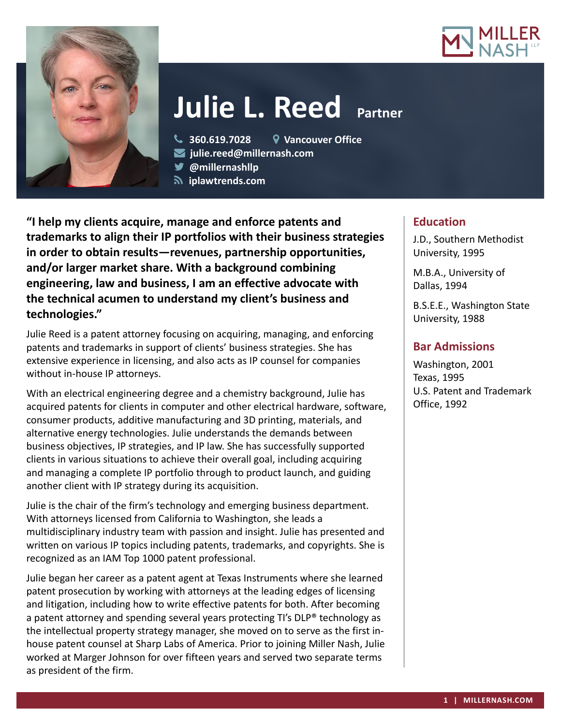



# **Julie L. Reed Partner**

**360.619.7028 Vancouver Office**

- **julie.reed@millernash.com**
- **@millernashllp**
- **iplawtrends.com**

**"I help my clients acquire, manage and enforce patents and trademarks to align their IP portfolios with their business strategies in order to obtain results—revenues, partnership opportunities, and/or larger market share. With a background combining engineering, law and business, I am an effective advocate with the technical acumen to understand my client's business and technologies."**

Julie Reed is a patent attorney focusing on acquiring, managing, and enforcing patents and trademarks in support of clients' business strategies. She has extensive experience in licensing, and also acts as IP counsel for companies without in-house IP attorneys.

With an electrical engineering degree and a chemistry background, Julie has acquired patents for clients in computer and other electrical hardware, software, consumer products, additive manufacturing and 3D printing, materials, and alternative energy technologies. Julie understands the demands between business objectives, IP strategies, and IP law. She has successfully supported clients in various situations to achieve their overall goal, including acquiring and managing a complete IP portfolio through to product launch, and guiding another client with IP strategy during its acquisition.

Julie is the chair of the firm's technology and emerging business department. With attorneys licensed from California to Washington, she leads a multidisciplinary industry team with passion and insight. Julie has presented and written on various IP topics including patents, trademarks, and copyrights. She is recognized as an IAM Top 1000 patent professional.

Julie began her career as a patent agent at Texas Instruments where she learned patent prosecution by working with attorneys at the leading edges of licensing and litigation, including how to write effective patents for both. After becoming a patent attorney and spending several years protecting TI's DLP® technology as the intellectual property strategy manager, she moved on to serve as the first inhouse patent counsel at Sharp Labs of America. Prior to joining Miller Nash, Julie worked at Marger Johnson for over fifteen years and served two separate terms as president of the firm.

## **Education**

J.D., Southern Methodist University, 1995

M.B.A., University of Dallas, 1994

B.S.E.E., Washington State University, 1988

# **Bar Admissions**

Washington, 2001 Texas, 1995 U.S. Patent and Trademark Office, 1992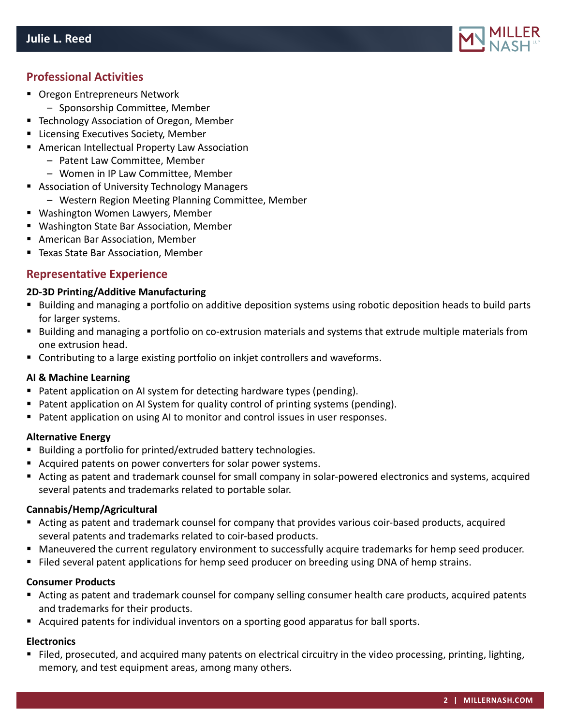

## **Professional Activities**

- Oregon Entrepreneurs Network
	- Sponsorship Committee, Member
- **F** Technology Association of Oregon, Member
- **EXECUTER EXECUTIVES Society, Member**
- American Intellectual Property Law Association
	- Patent Law Committee, Member
	- Women in IP Law Committee, Member
- Association of University Technology Managers
	- Western Region Meeting Planning Committee, Member
- Washington Women Lawyers, Member
- Washington State Bar Association, Member
- American Bar Association, Member
- Texas State Bar Association, Member

## **Representative Experience**

#### **2D-3D Printing/Additive Manufacturing**

- Building and managing a portfolio on additive deposition systems using robotic deposition heads to build parts for larger systems.
- Building and managing a portfolio on co-extrusion materials and systems that extrude multiple materials from one extrusion head.
- **Contributing to a large existing portfolio on inkjet controllers and waveforms.**

#### **AI & Machine Learning**

- Patent application on AI system for detecting hardware types (pending).
- Patent application on AI System for quality control of printing systems (pending).
- **Patent application on using AI to monitor and control issues in user responses.**

#### **Alternative Energy**

- Building a portfolio for printed/extruded battery technologies.
- Acquired patents on power converters for solar power systems.
- Acting as patent and trademark counsel for small company in solar-powered electronics and systems, acquired several patents and trademarks related to portable solar.

#### **Cannabis/Hemp/Agricultural**

- Acting as patent and trademark counsel for company that provides various coir-based products, acquired several patents and trademarks related to coir-based products.
- Maneuvered the current regulatory environment to successfully acquire trademarks for hemp seed producer.
- Filed several patent applications for hemp seed producer on breeding using DNA of hemp strains.

#### **Consumer Products**

- Acting as patent and trademark counsel for company selling consumer health care products, acquired patents and trademarks for their products.
- Acquired patents for individual inventors on a sporting good apparatus for ball sports.

#### **Electronics**

 Filed, prosecuted, and acquired many patents on electrical circuitry in the video processing, printing, lighting, memory, and test equipment areas, among many others.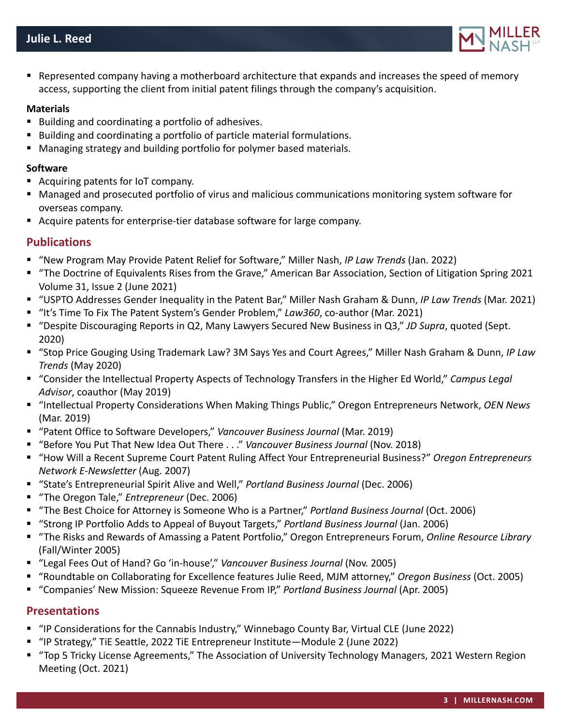

 Represented company having a motherboard architecture that expands and increases the speed of memory access, supporting the client from initial patent filings through the company's acquisition.

#### **Materials**

- Building and coordinating a portfolio of adhesives.
- Building and coordinating a portfolio of particle material formulations.
- **Managing strategy and building portfolio for polymer based materials.**

#### **Software**

- Acquiring patents for IoT company.
- Managed and prosecuted portfolio of virus and malicious communications monitoring system software for overseas company.
- Acquire patents for enterprise-tier database software for large company.

## **Publications**

- "New Program May Provide Patent Relief for Software," Miller Nash, *IP Law Trends* (Jan. 2022)
- "The Doctrine of Equivalents Rises from the Grave," American Bar Association, Section of Litigation Spring 2021 Volume 31, Issue 2 (June 2021)
- "USPTO Addresses Gender Inequality in the Patent Bar," Miller Nash Graham & Dunn, *IP Law Trends* (Mar. 2021)
- "It's Time To Fix The Patent System's Gender Problem," *Law360*, co-author (Mar. 2021)
- "Despite Discouraging Reports in Q2, Many Lawyers Secured New Business in Q3," *JD Supra*, quoted (Sept. 2020)
- "Stop Price Gouging Using Trademark Law? 3M Says Yes and Court Agrees," Miller Nash Graham & Dunn, *IP Law Trends* (May 2020)
- "Consider the Intellectual Property Aspects of Technology Transfers in the Higher Ed World," *Campus Legal Advisor*, coauthor (May 2019)
- "Intellectual Property Considerations When Making Things Public," Oregon Entrepreneurs Network, *OEN News* (Mar. 2019)
- "Patent Office to Software Developers," Vancouver Business Journal (Mar. 2019)
- "Before You Put That New Idea Out There . . ." *Vancouver Business Journal* (Nov. 2018)
- "How Will a Recent Supreme Court Patent Ruling Affect Your Entrepreneurial Business?" Oregon Entrepreneurs *Network E-Newsletter* (Aug. 2007)
- "State's Entrepreneurial Spirit Alive and Well," *Portland Business Journal* (Dec. 2006)
- "The Oregon Tale," *Entrepreneur* (Dec. 2006)
- "The Best Choice for Attorney is Someone Who is a Partner," *Portland Business Journal* (Oct. 2006)
- "Strong IP Portfolio Adds to Appeal of Buyout Targets," *Portland Business Journal* (Jan. 2006)
- "The Risks and Rewards of Amassing a Patent Portfolio," Oregon Entrepreneurs Forum, *Online Resource Library* (Fall/Winter 2005)
- "Legal Fees Out of Hand? Go 'in-house'," *Vancouver Business Journal* (Nov. 2005)
- "Roundtable on Collaborating for Excellence features Julie Reed, MJM attorney," *Oregon Business* (Oct. 2005)
- "Companies' New Mission: Squeeze Revenue From IP," *Portland Business Journal* (Apr. 2005)

### **Presentations**

- "IP Considerations for the Cannabis Industry," Winnebago County Bar, Virtual CLE (June 2022)
- "IP Strategy," TiE Seattle, 2022 TiE Entrepreneur Institute—Module 2 (June 2022)
- "Top 5 Tricky License Agreements," The Association of University Technology Managers, 2021 Western Region Meeting (Oct. 2021)